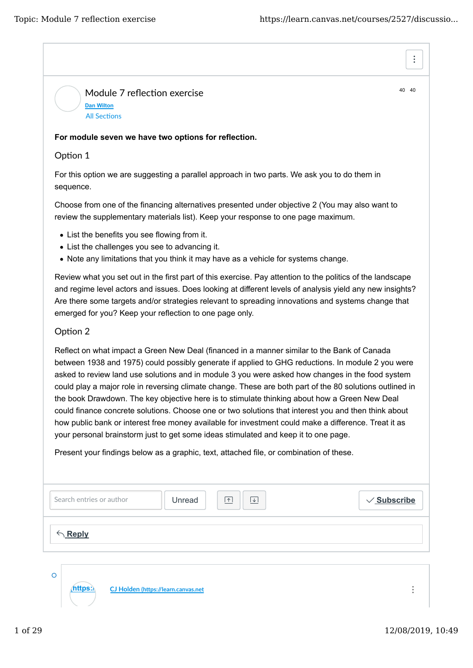40 40

 $\vdots$ 

Module 7 reflection exercise **Dan Wilton All Sections** 

## **For module seven we have two options for reflection.**

## Option 1

For this option we are suggesting a parallel approach in two parts. We ask you to do them in sequence.

Choose from one of the financing alternatives presented under objective 2 (You may also want to review the supplementary materials list). Keep your response to one page maximum.

- List the benefits you see flowing from it.
- List the challenges you see to advancing it.

**(https://learn.canvas.net CJ Holden (h�ps://learn.canvas.net**

• Note any limitations that you think it may have as a vehicle for systems change.

Review what you set out in the first part of this exercise. Pay attention to the politics of the landscape and regime level actors and issues. Does looking at different levels of analysis yield any new insights? Are there some targets and/or strategies relevant to spreading innovations and systems change that emerged for you? Keep your reflection to one page only.

## Option 2

Reflect on what impact a Green New Deal (financed in a manner similar to the Bank of Canada between 1938 and 1975) could possibly generate if applied to GHG reductions. In module 2 you were asked to review land use solutions and in module 3 you were asked how changes in the food system could play a major role in reversing climate change. These are both part of the 80 solutions outlined in the book Drawdown. The key objective here is to stimulate thinking about how a Green New Deal could finance concrete solutions. Choose one or two solutions that interest you and then think about how public bank or interest free money available for investment could make a difference. Treat it as your personal brainstorm just to get some ideas stimulated and keep it to one page.

Present your findings below as a graphic, text, attached file, or combination of these.

| Search entries or author | $\boxed{\uparrow}$<br>Unread<br>$\overline{\mathcal{F}}$ | $\sqrt{\underline{\text{Subscribe}}}$ |
|--------------------------|----------------------------------------------------------|---------------------------------------|
| $\leftarrow$ Reply       |                                                          |                                       |
|                          |                                                          |                                       |

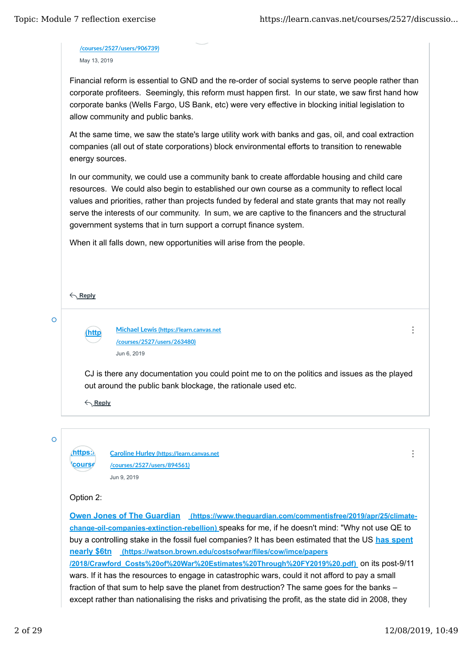**/courses/2527/users/906739)** May 13, 2019

Financial reform is essential to GND and the re-order of social systems to serve people rather than corporate profiteers. Seemingly, this reform must happen first. In our state, we saw first hand how corporate banks (Wells Fargo, US Bank, etc) were very effective in blocking initial legislation to allow community and public banks.

At the same time, we saw the state's large utility work with banks and gas, oil, and coal extraction companies (all out of state corporations) block environmental efforts to transition to renewable energy sources.

In our community, we could use a community bank to create affordable housing and child care resources. We could also begin to established our own course as a community to reflect local values and priorities, rather than projects funded by federal and state grants that may not really serve the interests of our community. In sum, we are captive to the financers and the structural government systems that in turn support a corrupt finance system.

When it all falls down, new opportunities will arise from the people.

**Reply**

 $\Omega$ 

**(https://learn.canvas.net Michael Lewis (h�ps://learn.canvas.net /courses /courses/2527/users/263480)** Jun 6, 2019

 $\ddot{\cdot}$ 

 $\ddot{\cdot}$ 

CJ is there any documentation you could point me to on the politics and issues as the played out around the public bank blockage, the rationale used etc.

**Reply**

 $\overline{O}$ 

**(https:) Caroline Hurley (https://learn.canvas.net /courses/2527/users/894561)** Jun 9, 2019

## Option 2:

**<u>Course</u>** 

**Owen Jones of The Guardian** (https://www.theguardian.com/commentisfree/2019/apr/25/climate**change-oil-companies-extinction-rebellion)** speaks for me, if he doesn't mind: "Why not use QE to buy a controlling stake in the fossil fuel companies? It has been estimated that the US **has spent nearly \$6tn (https://watson.brown.edu/costsofwar/files/cow/imce/papers /2018/Crawford\_Costs%20of%20War%20Estimates%20Through%20FY2019%20.pdf)** on its post-9/11 wars. If it has the resources to engage in catastrophic wars, could it not afford to pay a small fraction of that sum to help save the planet from destruction? The same goes for the banks – except rather than nationalising the risks and privatising the profit, as the state did in 2008, they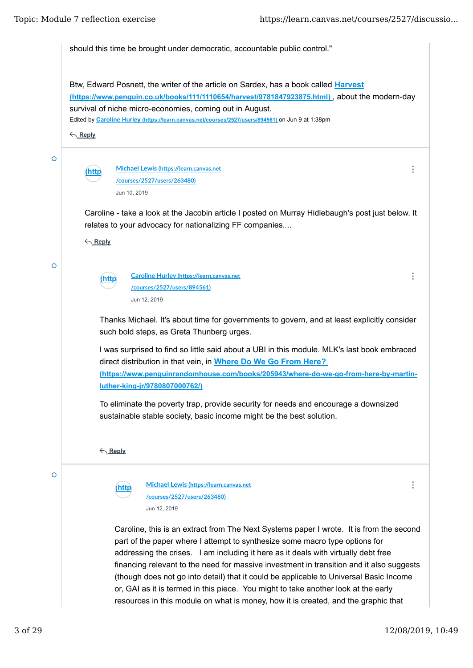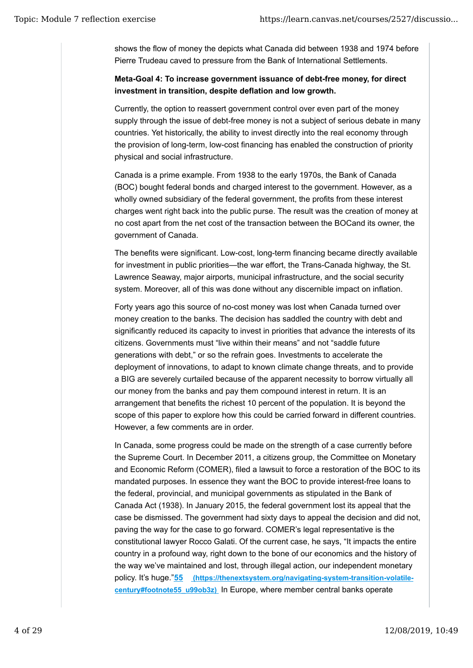shows the flow of money the depicts what Canada did between 1938 and 1974 before Pierre Trudeau caved to pressure from the Bank of International Settlements.

**Meta-Goal 4: To increase government issuance of debt-free money, for direct investment in transition, despite deflation and low growth.** 

Currently, the option to reassert government control over even part of the money supply through the issue of debt-free money is not a subject of serious debate in many countries. Yet historically, the ability to invest directly into the real economy through the provision of long-term, low-cost financing has enabled the construction of priority physical and social infrastructure.

Canada is a prime example. From 1938 to the early 1970s, the Bank of Canada (BOC) bought federal bonds and charged interest to the government. However, as a wholly owned subsidiary of the federal government, the profits from these interest charges went right back into the public purse. The result was the creation of money at no cost apart from the net cost of the transaction between the BOCand its owner, the government of Canada.

The benefits were significant. Low-cost, long-term financing became directly available for investment in public priorities—the war effort, the Trans-Canada highway, the St. Lawrence Seaway, major airports, municipal infrastructure, and the social security system. Moreover, all of this was done without any discernible impact on inflation.

Forty years ago this source of no-cost money was lost when Canada turned over money creation to the banks. The decision has saddled the country with debt and significantly reduced its capacity to invest in priorities that advance the interests of its citizens. Governments must "live within their means" and not "saddle future generations with debt," or so the refrain goes. Investments to accelerate the deployment of innovations, to adapt to known climate change threats, and to provide a BIG are severely curtailed because of the apparent necessity to borrow virtually all our money from the banks and pay them compound interest in return. It is an arrangement that benefits the richest 10 percent of the population. It is beyond the scope of this paper to explore how this could be carried forward in different countries. However, a few comments are in order.

In Canada, some progress could be made on the strength of a case currently before the Supreme Court. In December 2011, a citizens group, the Committee on Monetary and Economic Reform (COMER), filed a lawsuit to force a restoration of the BOC to its mandated purposes. In essence they want the BOC to provide interest-free loans to the federal, provincial, and municipal governments as stipulated in the Bank of Canada Act (1938). In January 2015, the federal government lost its appeal that the case be dismissed. The government had sixty days to appeal the decision and did not, paving the way for the case to go forward. COMER's legal representative is the constitutional lawyer Rocco Galati. Of the current case, he says, "It impacts the entire country in a profound way, right down to the bone of our economics and the history of the way we've maintained and lost, through illegal action, our independent monetary policy. It's huge."**55 (https://thenextsystem.org/navigating-system-transition-volatilecentury#footnote55\_u99ob3z)** In Europe, where member central banks operate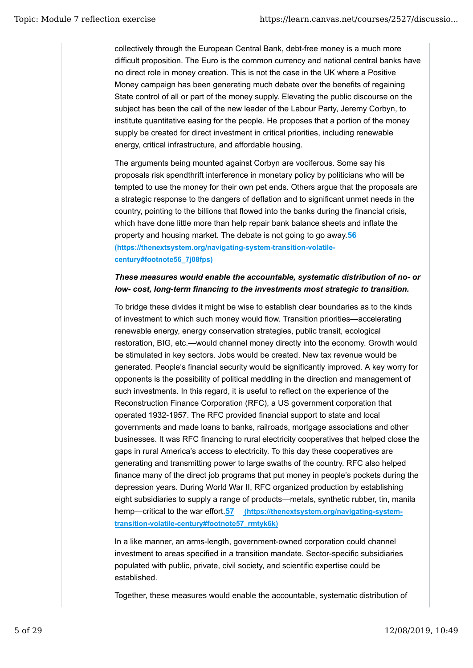collectively through the European Central Bank, debt-free money is a much more difficult proposition. The Euro is the common currency and national central banks have no direct role in money creation. This is not the case in the UK where a Positive Money campaign has been generating much debate over the benefits of regaining State control of all or part of the money supply. Elevating the public discourse on the subject has been the call of the new leader of the Labour Party, Jeremy Corbyn, to institute quantitative easing for the people. He proposes that a portion of the money supply be created for direct investment in critical priorities, including renewable energy, critical infrastructure, and affordable housing.

The arguments being mounted against Corbyn are vociferous. Some say his proposals risk spendthrift interference in monetary policy by politicians who will be tempted to use the money for their own pet ends. Others argue that the proposals are a strategic response to the dangers of deflation and to significant unmet needs in the country, pointing to the billions that flowed into the banks during the financial crisis, which have done little more than help repair bank balance sheets and inflate the property and housing market. The debate is not going to go away.**56 (https://thenextsystem.org/navigating-system-transition-volatilecentury#footnote56\_7j08fps)**

# *These measures would enable the accountable, systematic distribution of no- or low- cost, long-term financing to the investments most strategic to transition.*

To bridge these divides it might be wise to establish clear boundaries as to the kinds of investment to which such money would flow. Transition priorities—accelerating renewable energy, energy conservation strategies, public transit, ecological restoration, BIG, etc.—would channel money directly into the economy. Growth would be stimulated in key sectors. Jobs would be created. New tax revenue would be generated. People's financial security would be significantly improved. A key worry for opponents is the possibility of political meddling in the direction and management of such investments. In this regard, it is useful to reflect on the experience of the Reconstruction Finance Corporation (RFC), a US government corporation that operated 1932-1957. The RFC provided financial support to state and local governments and made loans to banks, railroads, mortgage associations and other businesses. It was RFC financing to rural electricity cooperatives that helped close the gaps in rural America's access to electricity. To this day these cooperatives are generating and transmitting power to large swaths of the country. RFC also helped finance many of the direct job programs that put money in people's pockets during the depression years. During World War II, RFC organized production by establishing eight subsidiaries to supply a range of products—metals, synthetic rubber, tin, manila hemp—critical to the war effort.**57 (https://thenextsystem.org/navigating-systemtransition-volatile-century#footnote57\_rmtyk6k)**

In a like manner, an arms-length, government-owned corporation could channel investment to areas specified in a transition mandate. Sector-specific subsidiaries populated with public, private, civil society, and scientific expertise could be established.

Together, these measures would enable the accountable, systematic distribution of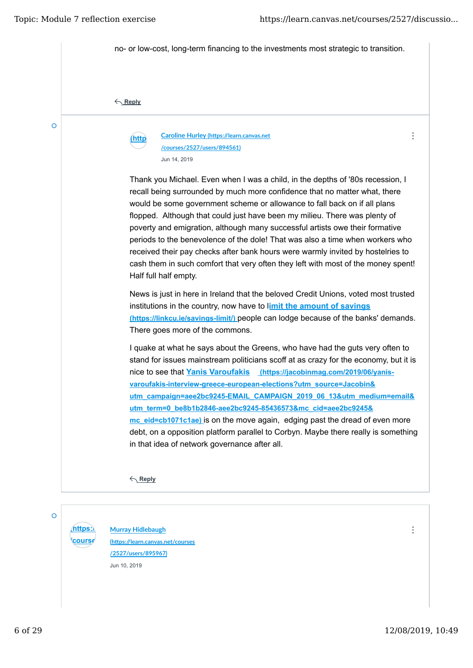

 $\Omega$ 

*<u>course</u>* 

**(https:) Murray Hidlebaugh (h�ps://learn.canvas.net/courses /2527/users/895967)** Jun 10, 2019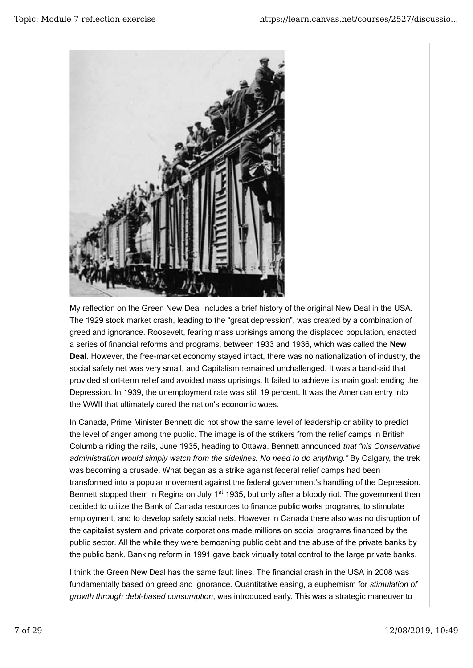

My reflection on the Green New Deal includes a brief history of the original New Deal in the USA. The 1929 stock market crash, leading to the "great depression", was created by a combination of greed and ignorance. Roosevelt, fearing mass uprisings among the displaced population, enacted a series of financial reforms and programs, between 1933 and 1936, which was called the **New Deal.** However, the free-market economy stayed intact, there was no nationalization of industry, the social safety net was very small, and Capitalism remained unchallenged. It was a band-aid that provided short-term relief and avoided mass uprisings. It failed to achieve its main goal: ending the Depression. In 1939, the unemployment rate was still 19 percent. It was the American entry into the WWII that ultimately cured the nation's economic woes.

In Canada, Prime Minister Bennett did not show the same level of leadership or ability to predict the level of anger among the public. The image is of the strikers from the relief camps in British Columbia riding the rails, June 1935, heading to Ottawa. Bennett announced *that "his Conservative administration would simply watch from the sidelines. No need to do anything."* By Calgary, the trek was becoming a crusade. What began as a strike against federal relief camps had been transformed into a popular movement against the federal government's handling of the Depression. Bennett stopped them in Regina on July 1<sup>st</sup> 1935, but only after a bloody riot. The government then decided to utilize the Bank of Canada resources to finance public works programs, to stimulate employment, and to develop safety social nets. However in Canada there also was no disruption of the capitalist system and private corporations made millions on social programs financed by the public sector. All the while they were bemoaning public debt and the abuse of the private banks by the public bank. Banking reform in 1991 gave back virtually total control to the large private banks.

I think the Green New Deal has the same fault lines. The financial crash in the USA in 2008 was fundamentally based on greed and ignorance. Quantitative easing, a euphemism for *stimulation of growth through debt-based consumption*, was introduced early. This was a strategic maneuver to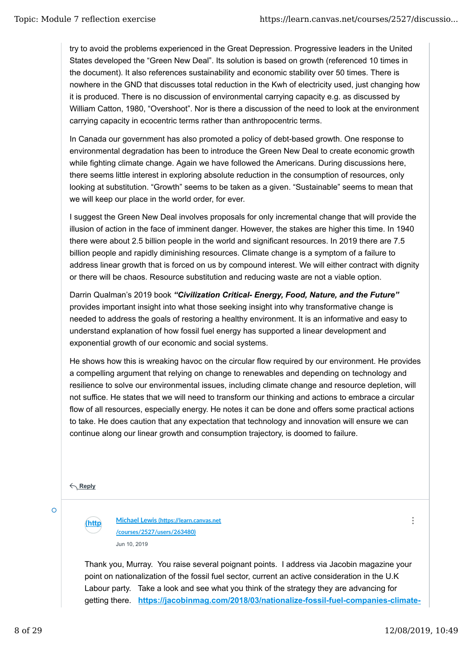try to avoid the problems experienced in the Great Depression. Progressive leaders in the United States developed the "Green New Deal". Its solution is based on growth (referenced 10 times in the document). It also references sustainability and economic stability over 50 times. There is nowhere in the GND that discusses total reduction in the Kwh of electricity used, just changing how it is produced. There is no discussion of environmental carrying capacity e.g. as discussed by William Catton, 1980, "Overshoot". Nor is there a discussion of the need to look at the environment carrying capacity in ecocentric terms rather than anthropocentric terms.

In Canada our government has also promoted a policy of debt-based growth. One response to environmental degradation has been to introduce the Green New Deal to create economic growth while fighting climate change. Again we have followed the Americans. During discussions here, there seems little interest in exploring absolute reduction in the consumption of resources, only looking at substitution. "Growth" seems to be taken as a given. "Sustainable" seems to mean that we will keep our place in the world order, for ever.

I suggest the Green New Deal involves proposals for only incremental change that will provide the illusion of action in the face of imminent danger. However, the stakes are higher this time. In 1940 there were about 2.5 billion people in the world and significant resources. In 2019 there are 7.5 billion people and rapidly diminishing resources. Climate change is a symptom of a failure to address linear growth that is forced on us by compound interest. We will either contract with dignity or there will be chaos. Resource substitution and reducing waste are not a viable option.

Darrin Qualman's 2019 book *"Civilization Critical- Energy, Food, Nature, and the Future"* provides important insight into what those seeking insight into why transformative change is needed to address the goals of restoring a healthy environment. It is an informative and easy to understand explanation of how fossil fuel energy has supported a linear development and exponential growth of our economic and social systems.

He shows how this is wreaking havoc on the circular flow required by our environment. He provides a compelling argument that relying on change to renewables and depending on technology and resilience to solve our environmental issues, including climate change and resource depletion, will not suffice. He states that we will need to transform our thinking and actions to embrace a circular flow of all resources, especially energy. He notes it can be done and offers some practical actions to take. He does caution that any expectation that technology and innovation will ensure we can continue along our linear growth and consumption trajectory, is doomed to failure.

**Reply**

 $\circ$ 

**(https://learn.canvas.net Michael Lewis (h�ps://learn.canvas.net /courses /courses/2527/users/263480)** Jun 10, 2019

Thank you, Murray. You raise several poignant points. I address via Jacobin magazine your point on nationalization of the fossil fuel sector, current an active consideration in the U.K Labour party. Take a look and see what you think of the strategy they are advancing for getting there. **https://jacobinmag.com/2018/03/nationalize-fossil-fuel-companies-climate-**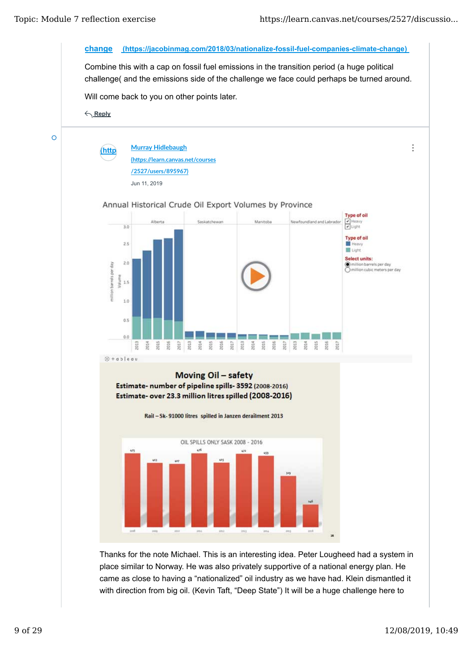

place similar to Norway. He was also privately supportive of a national energy plan. He came as close to having a "nationalized" oil industry as we have had. Klein dismantled it with direction from big oil. (Kevin Taft, "Deep State") It will be a huge challenge here to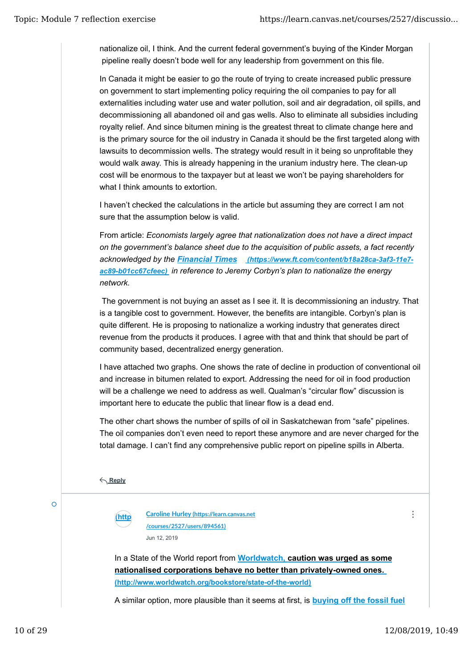nationalize oil, I think. And the current federal government's buying of the Kinder Morgan pipeline really doesn't bode well for any leadership from government on this file.

In Canada it might be easier to go the route of trying to create increased public pressure on government to start implementing policy requiring the oil companies to pay for all externalities including water use and water pollution, soil and air degradation, oil spills, and decommissioning all abandoned oil and gas wells. Also to eliminate all subsidies including royalty relief. And since bitumen mining is the greatest threat to climate change here and is the primary source for the oil industry in Canada it should be the first targeted along with lawsuits to decommission wells. The strategy would result in it being so unprofitable they would walk away. This is already happening in the uranium industry here. The clean-up cost will be enormous to the taxpayer but at least we won't be paying shareholders for what I think amounts to extortion.

I haven't checked the calculations in the article but assuming they are correct I am not sure that the assumption below is valid.

From article: *Economists largely agree that nationalization does not have a direct impact on the government's balance sheet due to the acquisition of public assets, a fact recently acknowledged by the Financial Times (https://www.ft.com/content/b18a28ca-3af3-11e7 ac89-b01cc67cfeec) in reference to Jeremy Corbyn's plan to nationalize the energy network.*

The government is not buying an asset as I see it. It is decommissioning an industry. That is a tangible cost to government. However, the benefits are intangible. Corbyn's plan is quite different. He is proposing to nationalize a working industry that generates direct revenue from the products it produces. I agree with that and think that should be part of community based, decentralized energy generation.

I have attached two graphs. One shows the rate of decline in production of conventional oil and increase in bitumen related to export. Addressing the need for oil in food production will be a challenge we need to address as well. Qualman's "circular flow" discussion is important here to educate the public that linear flow is a dead end.

The other chart shows the number of spills of oil in Saskatchewan from "safe" pipelines. The oil companies don't even need to report these anymore and are never charged for the total damage. I can't find any comprehensive public report on pipeline spills in Alberta.

**Reply**



**(https://learn.canvas.net Caroline Hurley (h�ps://learn.canvas.net /courses/2527/users/894561)** Jun 12, 2019

In a State of the World report from **Worldwatch, caution was urged as some nationalised corporations behave no better than privately-owned ones. (http://www.worldwatch.org/bookstore/state-of-the-world)**

A similar option, more plausible than it seems at first, is **buying off the fossil fuel**

 $\ddot{\cdot}$ 

 $\Omega$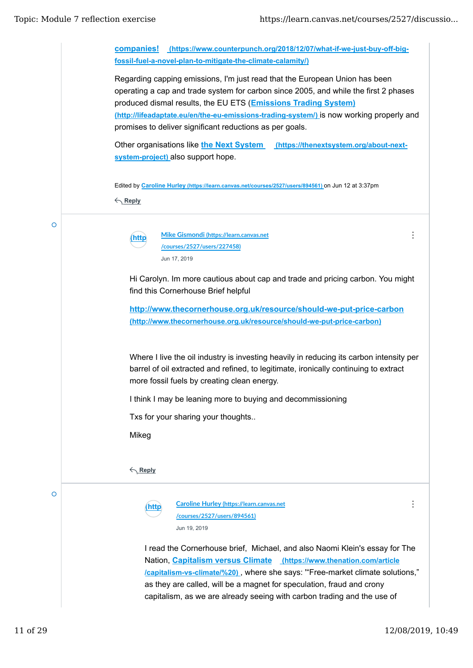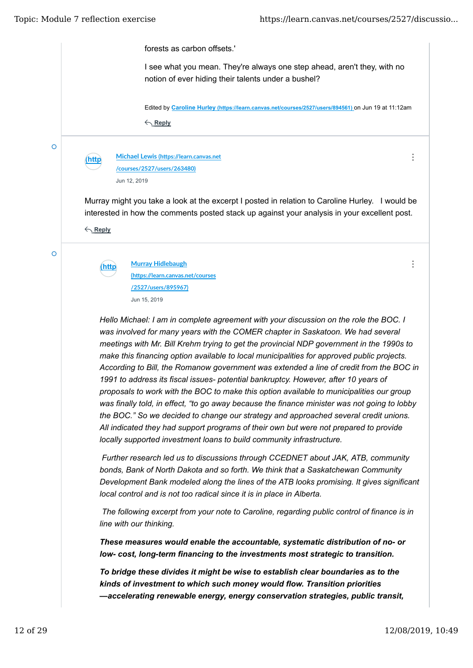forests as carbon offsets.' I see what you mean. They're always one step ahead, aren't they, with no notion of ever hiding their talents under a bushel? Edited by **Caroline Hurley (https://learn.canvas.net/courses/2527/users/894561)** on Jun 19 at 11:12am **Reply** Ō  $\vdots$ **(https://learn.canvas.net Michael Lewis (h�ps://learn.canvas.net /courses/2527/users/263480) /courses** Jun 12, 2019 Murray might you take a look at the excerpt I posted in relation to Caroline Hurley. I would be interested in how the comments posted stack up against your analysis in your excellent post. **Reply** Ō  $\ddot{\cdot}$ **(https://learn.canvas.net Murray Hidlebaugh (h�ps://learn.canvas.net/courses /courses /2527/users/895967)** Jun 15, 2019 *Hello Michael: I am in complete agreement with your discussion on the role the BOC. I was involved for many years with the COMER chapter in Saskatoon. We had several meetings with Mr. Bill Krehm trying to get the provincial NDP government in the 1990s to make this financing option available to local municipalities for approved public projects. According to Bill, the Romanow government was extended a line of credit from the BOC in 1991 to address its fiscal issues- potential bankruptcy. However, after 10 years of proposals to work with the BOC to make this option available to municipalities our group was finally told, in effect, "to go away because the finance minister was not going to lobby the BOC." So we decided to change our strategy and approached several credit unions. All indicated they had support programs of their own but were not prepared to provide locally supported investment loans to build community infrastructure. Further research led us to discussions through CCEDNET about JAK, ATB, community bonds, Bank of North Dakota and so forth. We think that a Saskatchewan Community Development Bank modeled along the lines of the ATB looks promising. It gives significant local control and is not too radical since it is in place in Alberta. The following excerpt from your note to Caroline, regarding public control of finance is in line with our thinking. These measures would enable the accountable, systematic distribution of no- or low- cost, long-term financing to the investments most strategic to transition. To bridge these divides it might be wise to establish clear boundaries as to the kinds of investment to which such money would flow. Transition priorities —accelerating renewable energy, energy conservation strategies, public transit,*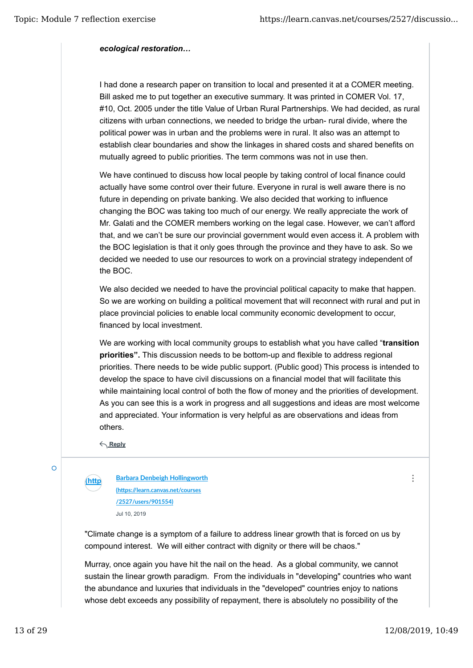## *ecological restoration…*

I had done a research paper on transition to local and presented it at a COMER meeting. Bill asked me to put together an executive summary. It was printed in COMER Vol. 17, #10, Oct. 2005 under the title Value of Urban Rural Partnerships. We had decided, as rural citizens with urban connections, we needed to bridge the urban- rural divide, where the political power was in urban and the problems were in rural. It also was an attempt to establish clear boundaries and show the linkages in shared costs and shared benefits on mutually agreed to public priorities. The term commons was not in use then.

We have continued to discuss how local people by taking control of local finance could actually have some control over their future. Everyone in rural is well aware there is no future in depending on private banking. We also decided that working to influence changing the BOC was taking too much of our energy. We really appreciate the work of Mr. Galati and the COMER members working on the legal case. However, we can't afford that, and we can't be sure our provincial government would even access it. A problem with the BOC legislation is that it only goes through the province and they have to ask. So we decided we needed to use our resources to work on a provincial strategy independent of the BOC.

We also decided we needed to have the provincial political capacity to make that happen. So we are working on building a political movement that will reconnect with rural and put in place provincial policies to enable local community economic development to occur, financed by local investment.

We are working with local community groups to establish what you have called "**transition priorities".** This discussion needs to be bottom-up and flexible to address regional priorities. There needs to be wide public support. (Public good) This process is intended to develop the space to have civil discussions on a financial model that will facilitate this while maintaining local control of both the flow of money and the priorities of development. As you can see this is a work in progress and all suggestions and ideas are most welcome and appreciated. Your information is very helpful as are observations and ideas from others.

**Reply**

Ō

**(https://learn.canvas.net Barbara Denbeigh Hollingworth /courses (h�ps://learn.canvas.net/courses /2527/users/901554)** Jul 10, 2019

"Climate change is a symptom of a failure to address linear growth that is forced on us by compound interest. We will either contract with dignity or there will be chaos."

Murray, once again you have hit the nail on the head. As a global community, we cannot sustain the linear growth paradigm. From the individuals in "developing" countries who want the abundance and luxuries that individuals in the "developed" countries enjoy to nations whose debt exceeds any possibility of repayment, there is absolutely no possibility of the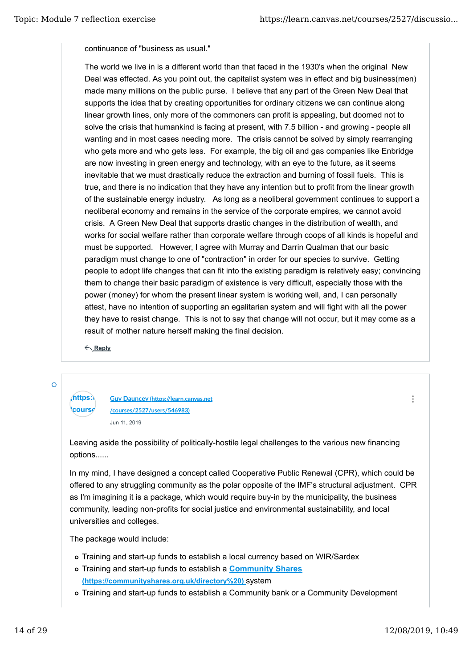continuance of "business as usual."

The world we live in is a different world than that faced in the 1930's when the original New Deal was effected. As you point out, the capitalist system was in effect and big business(men) made many millions on the public purse. I believe that any part of the Green New Deal that supports the idea that by creating opportunities for ordinary citizens we can continue along linear growth lines, only more of the commoners can profit is appealing, but doomed not to solve the crisis that humankind is facing at present, with 7.5 billion - and growing - people all wanting and in most cases needing more. The crisis cannot be solved by simply rearranging who gets more and who gets less. For example, the big oil and gas companies like Enbridge are now investing in green energy and technology, with an eye to the future, as it seems inevitable that we must drastically reduce the extraction and burning of fossil fuels. This is true, and there is no indication that they have any intention but to profit from the linear growth of the sustainable energy industry. As long as a neoliberal government continues to support a neoliberal economy and remains in the service of the corporate empires, we cannot avoid crisis. A Green New Deal that supports drastic changes in the distribution of wealth, and works for social welfare rather than corporate welfare through coops of all kinds is hopeful and must be supported. However, I agree with Murray and Darrin Qualman that our basic paradigm must change to one of "contraction" in order for our species to survive. Getting people to adopt life changes that can fit into the existing paradigm is relatively easy; convincing them to change their basic paradigm of existence is very difficult, especially those with the power (money) for whom the present linear system is working well, and, I can personally attest, have no intention of supporting an egalitarian system and will fight with all the power they have to resist change. This is not to say that change will not occur, but it may come as a result of mother nature herself making the final decision.

**Reply**

 $\Omega$ 

#### **(https://learn.canvas.net Guy Dauncey (h�ps://learn.canvas.net** *<u>course</u>* **/courses/2527/users/546983)** Jun 11, 2019

 $\ddot{\cdot}$ 

Leaving aside the possibility of politically-hostile legal challenges to the various new financing options......

In my mind, I have designed a concept called Cooperative Public Renewal (CPR), which could be offered to any struggling community as the polar opposite of the IMF's structural adjustment. CPR as I'm imagining it is a package, which would require buy-in by the municipality, the business community, leading non-profits for social justice and environmental sustainability, and local universities and colleges.

The package would include:

- Training and start-up funds to establish a local currency based on WIR/Sardex
- Training and start-up funds to establish a **Community Shares (https://communityshares.org.uk/directory%20)** system
- Training and start-up funds to establish a Community bank or a Community Development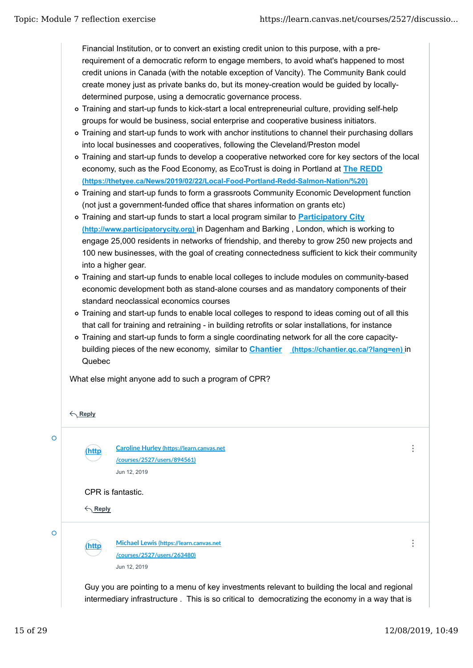Financial Institution, or to convert an existing credit union to this purpose, with a prerequirement of a democratic reform to engage members, to avoid what's happened to most credit unions in Canada (with the notable exception of Vancity). The Community Bank could create money just as private banks do, but its money-creation would be guided by locallydetermined purpose, using a democratic governance process.

- Training and start-up funds to kick-start a local entrepreneurial culture, providing self-help groups for would be business, social enterprise and cooperative business initiators.
- Training and start-up funds to work with anchor institutions to channel their purchasing dollars into local businesses and cooperatives, following the Cleveland/Preston model
- Training and start-up funds to develop a cooperative networked core for key sectors of the local economy, such as the Food Economy, as EcoTrust is doing in Portland at **The REDD (https://thetyee.ca/News/2019/02/22/Local-Food-Portland-Redd-Salmon-Nation/%20)**
- Training and start-up funds to form a grassroots Community Economic Development function (not just a government-funded office that shares information on grants etc)
- Training and start-up funds to start a local program similar to **Participatory City (http://www.participatorycity.org)** in Dagenham and Barking , London, which is working to engage 25,000 residents in networks of friendship, and thereby to grow 250 new projects and 100 new businesses, with the goal of creating connectedness sufficient to kick their community into a higher gear.
- Training and start-up funds to enable local colleges to include modules on community-based economic development both as stand-alone courses and as mandatory components of their standard neoclassical economics courses
- Training and start-up funds to enable local colleges to respond to ideas coming out of all this that call for training and retraining - in building retrofits or solar installations, for instance
- Training and start-up funds to form a single coordinating network for all the core capacitybuilding pieces of the new economy, similar to **Chantier (https://chantier.qc.ca/?lang=en)** in Quebec

What else might anyone add to such a program of CPR?

**Reply**

**/courses**

 $\circ$ 

Ō

**(https://learn.canvas.net Caroline Hurley (h�ps://learn.canvas.net /courses /courses/2527/users/894561)** Jun 12, 2019 **Reply** CPR is fantastic. **(https://learn.canvas.net Michael Lewis (h�ps://learn.canvas.net**

**/courses/2527/users/263480)**

Jun 12, 2019

 $\ddot{\cdot}$ 

 $\ddot{\cdot}$ 

Guy you are pointing to a menu of key investments relevant to building the local and regional intermediary infrastructure . This is so critical to democratizing the economy in a way that is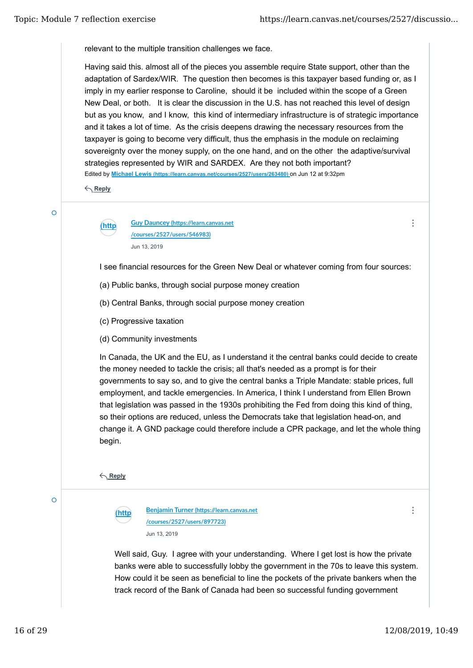relevant to the multiple transition challenges we face.

Edited by **Michael Lewis (https://learn.canvas.net/courses/2527/users/263480)** on Jun 12 at 9:32pm Having said this. almost all of the pieces you assemble require State support, other than the adaptation of Sardex/WIR. The question then becomes is this taxpayer based funding or, as I imply in my earlier response to Caroline, should it be included within the scope of a Green New Deal, or both. It is clear the discussion in the U.S. has not reached this level of design but as you know, and I know, this kind of intermediary infrastructure is of strategic importance and it takes a lot of time. As the crisis deepens drawing the necessary resources from the taxpayer is going to become very difficult, thus the emphasis in the module on reclaiming sovereignty over the money supply, on the one hand, and on the other the adaptive/survival strategies represented by WIR and SARDEX. Are they not both important?

**Reply**

 $\overline{\Omega}$ 

**(https://learn.canvas.net Guy Dauncey (h�ps://learn.canvas.net /courses /courses/2527/users/546983)** Jun 13, 2019

I see financial resources for the Green New Deal or whatever coming from four sources:

- (a) Public banks, through social purpose money creation
- (b) Central Banks, through social purpose money creation
- (c) Progressive taxation
- (d) Community investments

In Canada, the UK and the EU, as I understand it the central banks could decide to create the money needed to tackle the crisis; all that's needed as a prompt is for their governments to say so, and to give the central banks a Triple Mandate: stable prices, full employment, and tackle emergencies. In America, I think I understand from Ellen Brown that legislation was passed in the 1930s prohibiting the Fed from doing this kind of thing, so their options are reduced, unless the Democrats take that legislation head-on, and change it. A GND package could therefore include a CPR package, and let the whole thing begin.

**Reply**



**(https://learn.canvas.net Benjamin Turner (h�ps://learn.canvas.net /courses/2527/users/897723)** Jun 13, 2019

 $\ddot{\ddot{\cdot}}$ 

 $\vdots$ 

Well said, Guy. I agree with your understanding. Where I get lost is how the private banks were able to successfully lobby the government in the 70s to leave this system. How could it be seen as beneficial to line the pockets of the private bankers when the track record of the Bank of Canada had been so successful funding government

 $\overline{O}$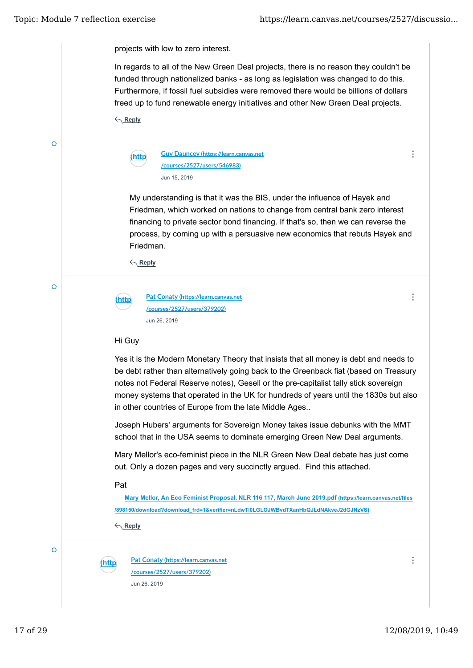$\Omega$ 

 $\overline{O}$ 

 $\vdots$ 

 $\ddot{\cdot}$ 

projects with low to zero interest.

In regards to all of the New Green Deal projects, there is no reason they couldn't be funded through nationalized banks - as long as legislation was changed to do this. Furthermore, if fossil fuel subsidies were removed there would be billions of dollars freed up to fund renewable energy initiatives and other New Green Deal projects.

**Reply**

| (http) | <b>Guy Dauncey (https://learn.canvas.net</b> |  |  |
|--------|----------------------------------------------|--|--|
|        | /courses/2527/users/546983)                  |  |  |
|        | Jun 15, 2019                                 |  |  |

My understanding is that it was the BIS, under the influence of Hayek and Friedman, which worked on nations to change from central bank zero interest financing to private sector bond financing. If that's so, then we can reverse the process, by coming up with a persuasive new economics that rebuts Hayek and Friedman.

**Reply**

**(https://learn.canvas.net Pat Conaty (h�ps://learn.canvas.net /courses /courses/2527/users/379202)** Jun 26, 2019

#### Hi Guy

Yes it is the Modern Monetary Theory that insists that all money is debt and needs to be debt rather than alternatively going back to the Greenback fiat (based on Treasury notes not Federal Reserve notes), Gesell or the pre-capitalist tally stick sovereign money systems that operated in the UK for hundreds of years until the 1830s but also in other countries of Europe from the late Middle Ages..

Joseph Hubers' arguments for Sovereign Money takes issue debunks with the MMT school that in the USA seems to dominate emerging Green New Deal arguments.

Mary Mellor's eco-feminist piece in the NLR Green New Deal debate has just come out. Only a dozen pages and very succinctly argued. Find this attached.

#### Pat

**Mary Mellor, An Eco Feminist Proposal, NLR 116 117, March June 2019.pdf (https://learn.canvas.net/files /898150/download?download\_frd=1&verifier=nLdwTl0LGLOJWBvdTXanHbQJLdNAkveJ2dGJNzVS)**

**Reply**

**(https://learn.canvas.net Pat Conaty (h�ps://learn.canvas.net /courses /courses/2527/users/379202)** Jun 26, 2019

 $\vdots$ 

Ō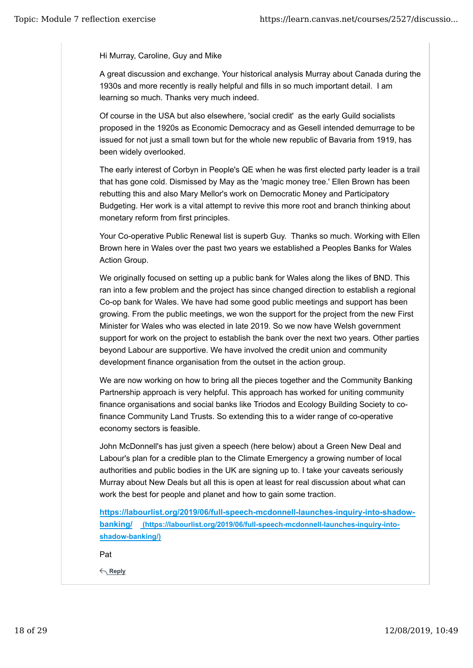### Hi Murray, Caroline, Guy and Mike

A great discussion and exchange. Your historical analysis Murray about Canada during the 1930s and more recently is really helpful and fills in so much important detail. I am learning so much. Thanks very much indeed.

Of course in the USA but also elsewhere, 'social credit' as the early Guild socialists proposed in the 1920s as Economic Democracy and as Gesell intended demurrage to be issued for not just a small town but for the whole new republic of Bavaria from 1919, has been widely overlooked.

The early interest of Corbyn in People's QE when he was first elected party leader is a trail that has gone cold. Dismissed by May as the 'magic money tree.' Ellen Brown has been rebutting this and also Mary Mellor's work on Democratic Money and Participatory Budgeting. Her work is a vital attempt to revive this more root and branch thinking about monetary reform from first principles.

Your Co-operative Public Renewal list is superb Guy. Thanks so much. Working with Ellen Brown here in Wales over the past two years we established a Peoples Banks for Wales Action Group.

We originally focused on setting up a public bank for Wales along the likes of BND. This ran into a few problem and the project has since changed direction to establish a regional Co-op bank for Wales. We have had some good public meetings and support has been growing. From the public meetings, we won the support for the project from the new First Minister for Wales who was elected in late 2019. So we now have Welsh government support for work on the project to establish the bank over the next two years. Other parties beyond Labour are supportive. We have involved the credit union and community development finance organisation from the outset in the action group.

We are now working on how to bring all the pieces together and the Community Banking Partnership approach is very helpful. This approach has worked for uniting community finance organisations and social banks like Triodos and Ecology Building Society to cofinance Community Land Trusts. So extending this to a wider range of co-operative economy sectors is feasible.

John McDonnell's has just given a speech (here below) about a Green New Deal and Labour's plan for a credible plan to the Climate Emergency a growing number of local authorities and public bodies in the UK are signing up to. I take your caveats seriously Murray about New Deals but all this is open at least for real discussion about what can work the best for people and planet and how to gain some traction.

**https://labourlist.org/2019/06/full-speech-mcdonnell-launches-inquiry-into-shadowbanking/ (https://labourlist.org/2019/06/full-speech-mcdonnell-launches-inquiry-intoshadow-banking/)**

Pat

**Reply**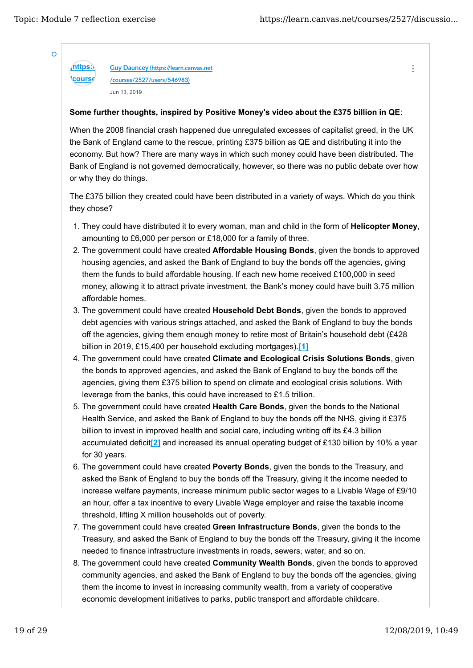**/course** 

 $\ddot{\cdot}$ 

 $\overline{O}$ 

**(https://learn.canvas.net Guy Dauncey (h�ps://learn.canvas.net /courses/2527/users/546983)** Jun 13, 2019

## **Some further thoughts, inspired by Positive Money's video about the £375 billion in QE**:

When the 2008 financial crash happened due unregulated excesses of capitalist greed, in the UK the Bank of England came to the rescue, printing £375 billion as QE and distributing it into the economy. But how? There are many ways in which such money could have been distributed. The Bank of England is not governed democratically, however, so there was no public debate over how or why they do things.

The £375 billion they created could have been distributed in a variety of ways. Which do you think they chose?

- 1. They could have distributed it to every woman, man and child in the form of **Helicopter Money**, amounting to £6,000 per person or £18,000 for a family of three.
- 2. The government could have created **Affordable Housing Bonds**, given the bonds to approved housing agencies, and asked the Bank of England to buy the bonds off the agencies, giving them the funds to build affordable housing. If each new home received £100,000 in seed money, allowing it to attract private investment, the Bank's money could have built 3.75 million affordable homes.
- 3. The government could have created **Household Debt Bonds**, given the bonds to approved debt agencies with various strings attached, and asked the Bank of England to buy the bonds off the agencies, giving them enough money to retire most of Britain's household debt (£428 billion in 2019, £15,400 per household excluding mortgages).**[1]**
- 4. The government could have created Climate and Ecological Crisis Solutions Bonds, given the bonds to approved agencies, and asked the Bank of England to buy the bonds off the agencies, giving them £375 billion to spend on climate and ecological crisis solutions. With leverage from the banks, this could have increased to £1.5 trillion.
- 5. The government could have created Health Care Bonds, given the bonds to the National Health Service, and asked the Bank of England to buy the bonds off the NHS, giving it £375 billion to invest in improved health and social care, including writing off its £4.3 billion accumulated deficit**[2]** and increased its annual operating budget of £130 billion by 10% a year for 30 years.
- 6. The government could have created **Poverty Bonds**, given the bonds to the Treasury, and asked the Bank of England to buy the bonds off the Treasury, giving it the income needed to increase welfare payments, increase minimum public sector wages to a Livable Wage of £9/10 an hour, offer a tax incentive to every Livable Wage employer and raise the taxable income threshold, lifting X million households out of poverty.
- 7. The government could have created Green Infrastructure Bonds, given the bonds to the Treasury, and asked the Bank of England to buy the bonds off the Treasury, giving it the income needed to finance infrastructure investments in roads, sewers, water, and so on.
- 8. The government could have created **Community Wealth Bonds**, given the bonds to approved community agencies, and asked the Bank of England to buy the bonds off the agencies, giving them the income to invest in increasing community wealth, from a variety of cooperative economic development initiatives to parks, public transport and affordable childcare.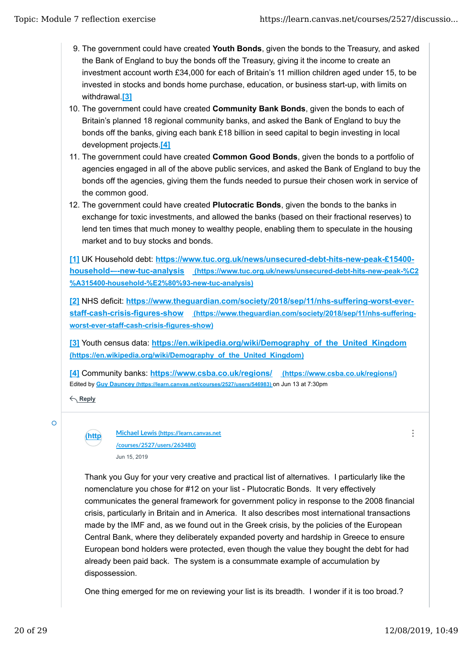- 9. The government could have created Youth Bonds, given the bonds to the Treasury, and asked the Bank of England to buy the bonds off the Treasury, giving it the income to create an investment account worth £34,000 for each of Britain's 11 million children aged under 15, to be invested in stocks and bonds home purchase, education, or business start-up, with limits on withdrawal.**[3]**
- 10. The government could have created **Community Bank Bonds**, given the bonds to each of Britain's planned 18 regional community banks, and asked the Bank of England to buy the bonds off the banks, giving each bank £18 billion in seed capital to begin investing in local development projects.**[4]**
- 11. The government could have created **Common Good Bonds**, given the bonds to a portfolio of agencies engaged in all of the above public services, and asked the Bank of England to buy the bonds off the agencies, giving them the funds needed to pursue their chosen work in service of the common good.
- 12. The government could have created **Plutocratic Bonds**, given the bonds to the banks in exchange for toxic investments, and allowed the banks (based on their fractional reserves) to lend ten times that much money to wealthy people, enabling them to speculate in the housing market and to buy stocks and bonds.

**[1]** UK Household debt: **https://www.tuc.org.uk/news/unsecured-debt-hits-new-peak-£15400 household-–-new-tuc-analysis (https://www.tuc.org.uk/news/unsecured-debt-hits-new-peak-%C2 %A315400-household-%E2%80%93-new-tuc-analysis)**

**[2]** NHS deficit: **https://www.theguardian.com/society/2018/sep/11/nhs-suffering-worst-everstaff-cash-crisis-figures-show (https://www.theguardian.com/society/2018/sep/11/nhs-sufferingworst-ever-staff-cash-crisis-figures-show)**

**[3]** Youth census data: **https://en.wikipedia.org/wiki/Demography\_of\_the\_United\_Kingdom (https://en.wikipedia.org/wiki/Demography\_of\_the\_United\_Kingdom)**

Edited by **Guy Dauncey (https://learn.canvas.net/courses/2527/users/546983)** on Jun 13 at 7:30pm **[4]** Community banks: **https://www.csba.co.uk/regions/ (https://www.csba.co.uk/regions/)**

**Reply**

**(https://learn.canvas.net Michael Lewis (h�ps://learn.canvas.net /courses /courses/2527/users/263480)** Jun 15, 2019

Thank you Guy for your very creative and practical list of alternatives. I particularly like the nomenclature you chose for #12 on your list - Plutocratic Bonds. It very effectively communicates the general framework for government policy in response to the 2008 financial crisis, particularly in Britain and in America. It also describes most international transactions made by the IMF and, as we found out in the Greek crisis, by the policies of the European Central Bank, where they deliberately expanded poverty and hardship in Greece to ensure European bond holders were protected, even though the value they bought the debt for had already been paid back. The system is a consummate example of accumulation by dispossession.

One thing emerged for me on reviewing your list is its breadth. I wonder if it is too broad.?

Ō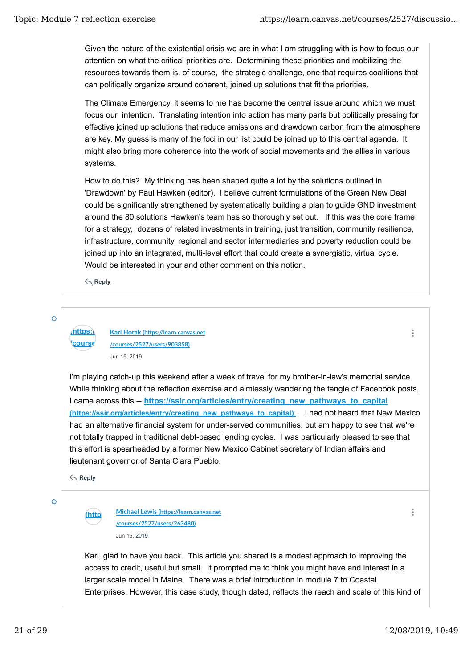Given the nature of the existential crisis we are in what I am struggling with is how to focus our attention on what the critical priorities are. Determining these priorities and mobilizing the resources towards them is, of course, the strategic challenge, one that requires coalitions that can politically organize around coherent, joined up solutions that fit the priorities.

The Climate Emergency, it seems to me has become the central issue around which we must focus our intention. Translating intention into action has many parts but politically pressing for effective joined up solutions that reduce emissions and drawdown carbon from the atmosphere are key. My guess is many of the foci in our list could be joined up to this central agenda. It might also bring more coherence into the work of social movements and the allies in various systems.

How to do this? My thinking has been shaped quite a lot by the solutions outlined in 'Drawdown' by Paul Hawken (editor). I believe current formulations of the Green New Deal could be significantly strengthened by systematically building a plan to guide GND investment around the 80 solutions Hawken's team has so thoroughly set out. If this was the core frame for a strategy, dozens of related investments in training, just transition, community resilience, infrastructure, community, regional and sector intermediaries and poverty reduction could be joined up into an integrated, multi-level effort that could create a synergistic, virtual cycle. Would be interested in your and other comment on this notion.

**Reply**

#### Ō

**(https://learn.canvas.net Karl Horak (h�ps://learn.canvas.net /courses/2527/users/903858)** Jun 15, 2019

I'm playing catch-up this weekend after a week of travel for my brother-in-law's memorial service. While thinking about the reflection exercise and aimlessly wandering the tangle of Facebook posts, I came across this -- **https://ssir.org/articles/entry/creating\_new\_pathways\_to\_capital (https://ssir.org/articles/entry/creating\_new\_pathways\_to\_capital)** . I had not heard that New Mexico had an alternative financial system for under-served communities, but am happy to see that we're not totally trapped in traditional debt-based lending cycles. I was particularly pleased to see that this effort is spearheaded by a former New Mexico Cabinet secretary of Indian affairs and lieutenant governor of Santa Clara Pueblo.

**Reply**

*<u>course</u>* 

 $\overline{O}$ 

**(https://learn.canvas.net Michael Lewis (h�ps://learn.canvas.net /courses /courses/2527/users/263480)** Jun 15, 2019

 $\ddot{\cdot}$ 

 $\ddot{\cdot}$ 

Karl, glad to have you back. This article you shared is a modest approach to improving the access to credit, useful but small. It prompted me to think you might have and interest in a larger scale model in Maine. There was a brief introduction in module 7 to Coastal Enterprises. However, this case study, though dated, reflects the reach and scale of this kind of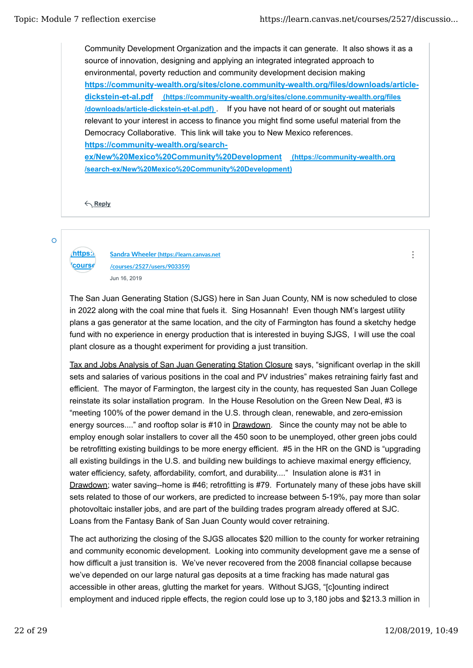Community Development Organization and the impacts it can generate. It also shows it as a source of innovation, designing and applying an integrated integrated approach to environmental, poverty reduction and community development decision making **https://community-wealth.org/sites/clone.community-wealth.org/files/downloads/articledickstein-et-al.pdf (https://community-wealth.org/sites/clone.community-wealth.org/files /downloads/article-dickstein-et-al.pdf)** . If you have not heard of or sought out materials relevant to your interest in access to finance you might find some useful material from the Democracy Collaborative. This link will take you to New Mexico references. **https://community-wealth.org/searchex/New%20Mexico%20Community%20Development (https://community-wealth.org /search-ex/New%20Mexico%20Community%20Development)**

**Reply**

Ō

*<u>course</u>* 

**(https://learn.canvas.net Sandra Wheeler (h�ps://learn.canvas.net /courses/2527/users/903359)** Jun 16, 2019

The San Juan Generating Station (SJGS) here in San Juan County, NM is now scheduled to close in 2022 along with the coal mine that fuels it. Sing Hosannah! Even though NM's largest utility plans a gas generator at the same location, and the city of Farmington has found a sketchy hedge fund with no experience in energy production that is interested in buying SJGS, I will use the coal plant closure as a thought experiment for providing a just transition.

Tax and Jobs Analysis of San Juan Generating Station Closure says, "significant overlap in the skill sets and salaries of various positions in the coal and PV industries" makes retraining fairly fast and efficient. The mayor of Farmington, the largest city in the county, has requested San Juan College reinstate its solar installation program. In the House Resolution on the Green New Deal, #3 is "meeting 100% of the power demand in the U.S. through clean, renewable, and zero-emission energy sources...." and rooftop solar is #10 in Drawdown. Since the county may not be able to employ enough solar installers to cover all the 450 soon to be unemployed, other green jobs could be retrofitting existing buildings to be more energy efficient. #5 in the HR on the GND is "upgrading all existing buildings in the U.S. and building new buildings to achieve maximal energy efficiency, water efficiency, safety, affordability, comfort, and durability...." Insulation alone is #31 in Drawdown; water saving--home is #46; retrofitting is #79. Fortunately many of these jobs have skill sets related to those of our workers, are predicted to increase between 5-19%, pay more than solar photovoltaic installer jobs, and are part of the building trades program already offered at SJC. Loans from the Fantasy Bank of San Juan County would cover retraining.

The act authorizing the closing of the SJGS allocates \$20 million to the county for worker retraining and community economic development. Looking into community development gave me a sense of how difficult a just transition is. We've never recovered from the 2008 financial collapse because we've depended on our large natural gas deposits at a time fracking has made natural gas accessible in other areas, glutting the market for years. Without SJGS, "[c]ounting indirect employment and induced ripple effects, the region could lose up to 3,180 jobs and \$213.3 million in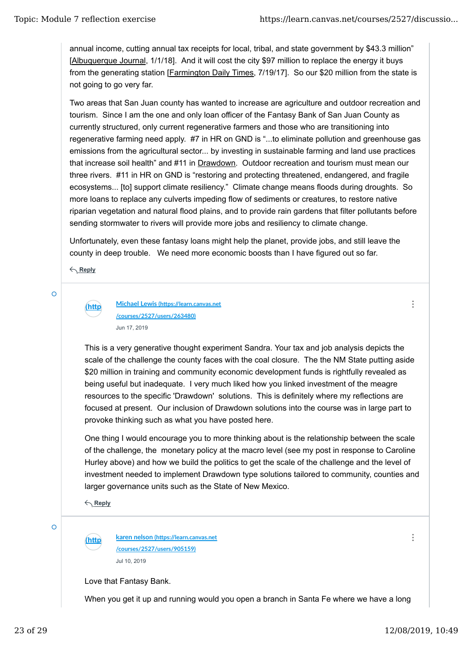annual income, cutting annual tax receipts for local, tribal, and state government by \$43.3 million" [Albuquerque Journal, 1/1/18]. And it will cost the city \$97 million to replace the energy it buys from the generating station [Farmington Daily Times, 7/19/17]. So our \$20 million from the state is not going to go very far.

Two areas that San Juan county has wanted to increase are agriculture and outdoor recreation and tourism. Since I am the one and only loan officer of the Fantasy Bank of San Juan County as currently structured, only current regenerative farmers and those who are transitioning into regenerative farming need apply. #7 in HR on GND is "...to eliminate pollution and greenhouse gas emissions from the agricultural sector... by investing in sustainable farming and land use practices that increase soil health" and #11 in Drawdown. Outdoor recreation and tourism must mean our three rivers. #11 in HR on GND is "restoring and protecting threatened, endangered, and fragile ecosystems... [to] support climate resiliency." Climate change means floods during droughts. So more loans to replace any culverts impeding flow of sediments or creatures, to restore native riparian vegetation and natural flood plains, and to provide rain gardens that filter pollutants before sending stormwater to rivers will provide more jobs and resiliency to climate change.

Unfortunately, even these fantasy loans might help the planet, provide jobs, and still leave the county in deep trouble. We need more economic boosts than I have figured out so far.

**Reply**

# Ō

#### **(https://learn.canvas.net Michael Lewis (h�ps://learn.canvas.net /courses /courses/2527/users/263480)** Jun 17, 2019

This is a very generative thought experiment Sandra. Your tax and job analysis depicts the scale of the challenge the county faces with the coal closure. The the NM State putting aside \$20 million in training and community economic development funds is rightfully revealed as being useful but inadequate. I very much liked how you linked investment of the meagre resources to the specific 'Drawdown' solutions. This is definitely where my reflections are focused at present. Our inclusion of Drawdown solutions into the course was in large part to provoke thinking such as what you have posted here.

One thing I would encourage you to more thinking about is the relationship between the scale of the challenge, the monetary policy at the macro level (see my post in response to Caroline Hurley above) and how we build the politics to get the scale of the challenge and the level of investment needed to implement Drawdown type solutions tailored to community, counties and larger governance units such as the State of New Mexico.

**Reply**

Ō

**(https://learn.canvas.net karen nelson (h�ps://learn.canvas.net /courses /courses/2527/users/905159)** Jul 10, 2019

Love that Fantasy Bank.

When you get it up and running would you open a branch in Santa Fe where we have a long

 $\ddot{\cdot}$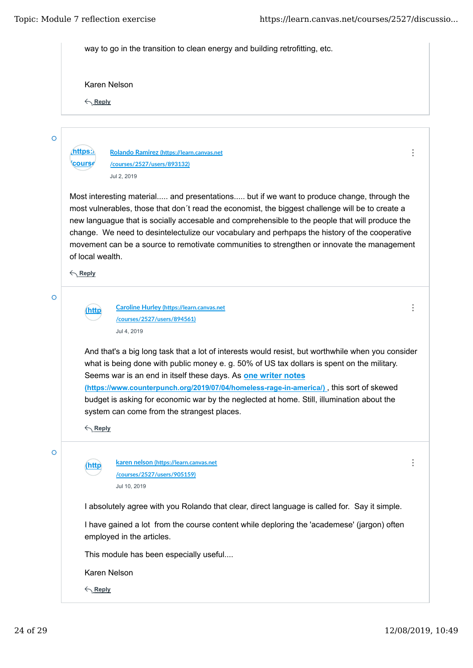| way to go in the transition to clean energy and building retrofitting, etc. |                                                                                                                                                                                                                                                                                                                                                                                                                                                                                                   |  |  |  |
|-----------------------------------------------------------------------------|---------------------------------------------------------------------------------------------------------------------------------------------------------------------------------------------------------------------------------------------------------------------------------------------------------------------------------------------------------------------------------------------------------------------------------------------------------------------------------------------------|--|--|--|
|                                                                             | Karen Nelson                                                                                                                                                                                                                                                                                                                                                                                                                                                                                      |  |  |  |
| $\leftarrow$ Reply                                                          |                                                                                                                                                                                                                                                                                                                                                                                                                                                                                                   |  |  |  |
|                                                                             |                                                                                                                                                                                                                                                                                                                                                                                                                                                                                                   |  |  |  |
|                                                                             | Rolando Ramirez (https://learn.canvas.net                                                                                                                                                                                                                                                                                                                                                                                                                                                         |  |  |  |
| course                                                                      | /courses/2527/users/893132)                                                                                                                                                                                                                                                                                                                                                                                                                                                                       |  |  |  |
|                                                                             | Jul 2, 2019                                                                                                                                                                                                                                                                                                                                                                                                                                                                                       |  |  |  |
| of local wealth.<br>$\leftarrow$ Reply                                      | Most interesting material and presentations but if we want to produce change, through the<br>most vulnerables, those that don't read the economist, the biggest challenge will be to create a<br>new languague that is socially accesable and comprehensible to the people that will produce the<br>change. We need to desintelectulize our vocabulary and perhpaps the history of the cooperative<br>movement can be a source to remotivate communities to strengthen or innovate the management |  |  |  |
|                                                                             |                                                                                                                                                                                                                                                                                                                                                                                                                                                                                                   |  |  |  |
| http                                                                        | <b>Caroline Hurley (https://learn.canvas.net</b>                                                                                                                                                                                                                                                                                                                                                                                                                                                  |  |  |  |
|                                                                             | /courses/2527/users/894561)                                                                                                                                                                                                                                                                                                                                                                                                                                                                       |  |  |  |
|                                                                             | Jul 4, 2019                                                                                                                                                                                                                                                                                                                                                                                                                                                                                       |  |  |  |
|                                                                             | And that's a big long task that a lot of interests would resist, but worthwhile when you consider<br>what is being done with public money e. g. 50% of US tax dollars is spent on the military.<br>Seems war is an end in itself these days. As one writer notes                                                                                                                                                                                                                                  |  |  |  |
|                                                                             | (https://www.counterpunch.org/2019/07/04/homeless-rage-in-america/), this sort of skewed                                                                                                                                                                                                                                                                                                                                                                                                          |  |  |  |
|                                                                             | budget is asking for economic war by the neglected at home. Still, illumination about the                                                                                                                                                                                                                                                                                                                                                                                                         |  |  |  |
|                                                                             | system can come from the strangest places.                                                                                                                                                                                                                                                                                                                                                                                                                                                        |  |  |  |
| $\leftarrow$ Reply                                                          |                                                                                                                                                                                                                                                                                                                                                                                                                                                                                                   |  |  |  |
| <u>(http</u>                                                                | karen nelson (https://learn.canvas.net<br>/courses/2527/users/905159)                                                                                                                                                                                                                                                                                                                                                                                                                             |  |  |  |
|                                                                             | Jul 10, 2019                                                                                                                                                                                                                                                                                                                                                                                                                                                                                      |  |  |  |
|                                                                             | I absolutely agree with you Rolando that clear, direct language is called for. Say it simple.                                                                                                                                                                                                                                                                                                                                                                                                     |  |  |  |
|                                                                             | I have gained a lot from the course content while deploring the 'academese' (jargon) often<br>employed in the articles.                                                                                                                                                                                                                                                                                                                                                                           |  |  |  |
|                                                                             | This module has been especially useful                                                                                                                                                                                                                                                                                                                                                                                                                                                            |  |  |  |
|                                                                             |                                                                                                                                                                                                                                                                                                                                                                                                                                                                                                   |  |  |  |
|                                                                             | Karen Nelson                                                                                                                                                                                                                                                                                                                                                                                                                                                                                      |  |  |  |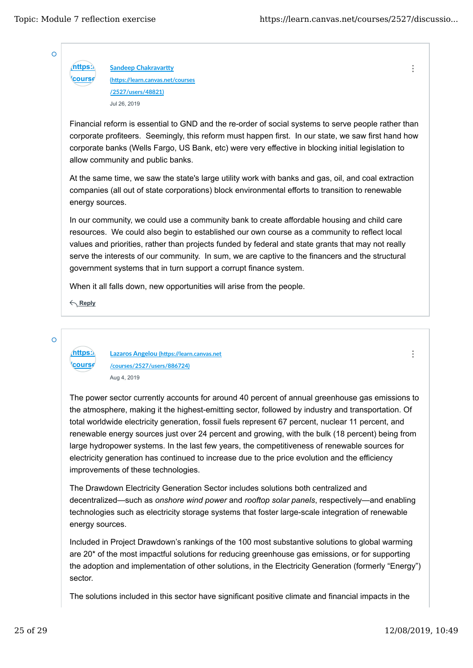$\ddot{\cdot}$ 

 $\ddot{\cdot}$ 

 $\overline{O}$ 

**(https:) Sandeep Chakravartty /course (h�ps://learn.canvas.net/courses /2527/users/48821)** Jul 26, 2019

Financial reform is essential to GND and the re-order of social systems to serve people rather than corporate profiteers. Seemingly, this reform must happen first. In our state, we saw first hand how corporate banks (Wells Fargo, US Bank, etc) were very effective in blocking initial legislation to allow community and public banks.

At the same time, we saw the state's large utility work with banks and gas, oil, and coal extraction companies (all out of state corporations) block environmental efforts to transition to renewable energy sources.

In our community, we could use a community bank to create affordable housing and child care resources. We could also begin to established our own course as a community to reflect local values and priorities, rather than projects funded by federal and state grants that may not really serve the interests of our community. In sum, we are captive to the financers and the structural government systems that in turn support a corrupt finance system.

When it all falls down, new opportunities will arise from the people.

**Reply**

 $\Omega$ 

**(https://learn.canvas.net Lazaros Angelou (h�ps://learn.canvas.net /course /courses/2527/users/886724)** Aug 4, 2019

The power sector currently accounts for around 40 percent of annual greenhouse gas emissions to the atmosphere, making it the highest-emitting sector, followed by industry and transportation. Of total worldwide electricity generation, fossil fuels represent 67 percent, nuclear 11 percent, and renewable energy sources just over 24 percent and growing, with the bulk (18 percent) being from large hydropower systems. In the last few years, the competitiveness of renewable sources for electricity generation has continued to increase due to the price evolution and the efficiency improvements of these technologies.

The Drawdown Electricity Generation Sector includes solutions both centralized and decentralized—such as *onshore wind power* and *rooftop solar panels*, respectively—and enabling technologies such as electricity storage systems that foster large-scale integration of renewable energy sources.

Included in Project Drawdown's rankings of the 100 most substantive solutions to global warming are 20\* of the most impactful solutions for reducing greenhouse gas emissions, or for supporting the adoption and implementation of other solutions, in the Electricity Generation (formerly "Energy") sector.

The solutions included in this sector have significant positive climate and financial impacts in the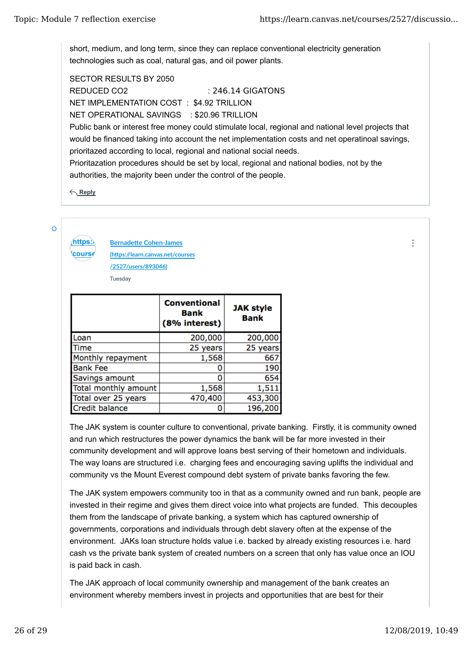short, medium, and long term, since they can replace conventional electricity generation technologies such as coal, natural gas, and oil power plants.

SECTOR RESULTS BY 2050 REDUCED CO2 : 246.14 GIGATONS NET IMPLEMENTATION COST : \$4.92 TRILLION NET OPERATIONAL SAVINGS : \$20.96 TRILLION Public bank or interest free money could stimulate local, regional and national level projects that would be financed taking into account the net implementation costs and net operatinoal savings, prioritazed according to local, regional and national social needs. Prioritazation procedures should be set by local, regional and national bodies, not by the authorities, the majority been under the control of the people.

**Reply**

**/course** 

 $\overline{O}$ 

**(https:) Bernadette Cohen-James (h�ps://learn.canvas.net/courses /2527/users/893046)** Tuesday

|                      | <b>Conventional</b><br><b>Bank</b><br>(8% interest) | <b>JAK style</b><br><b>Bank</b> |
|----------------------|-----------------------------------------------------|---------------------------------|
| Loan                 | 200,000                                             | 200,000                         |
| Time                 | 25 years                                            | 25 years                        |
| Monthly repayment    | 1,568                                               | 667                             |
| <b>Bank Fee</b>      |                                                     | 190                             |
| Savings amount       | 0                                                   | 654                             |
| Total monthly amount | 1,568                                               | 1,511                           |
| Total over 25 years  | 470,400                                             | 453,300                         |
| Credit balance       |                                                     | 196,200                         |

The JAK system is counter culture to conventional, private banking. Firstly, it is community owned and run which restructures the power dynamics the bank will be far more invested in their community development and will approve loans best serving of their hometown and individuals. The way loans are structured i.e. charging fees and encouraging saving uplifts the individual and community vs the Mount Everest compound debt system of private banks favoring the few.

The JAK system empowers community too in that as a community owned and run bank, people are invested in their regime and gives them direct voice into what projects are funded. This decouples them from the landscape of private banking, a system which has captured ownership of governments, corporations and individuals through debt slavery often at the expense of the environment. JAKs loan structure holds value i.e. backed by already existing resources i.e. hard cash vs the private bank system of created numbers on a screen that only has value once an IOU is paid back in cash.

The JAK approach of local community ownership and management of the bank creates an environment whereby members invest in projects and opportunities that are best for their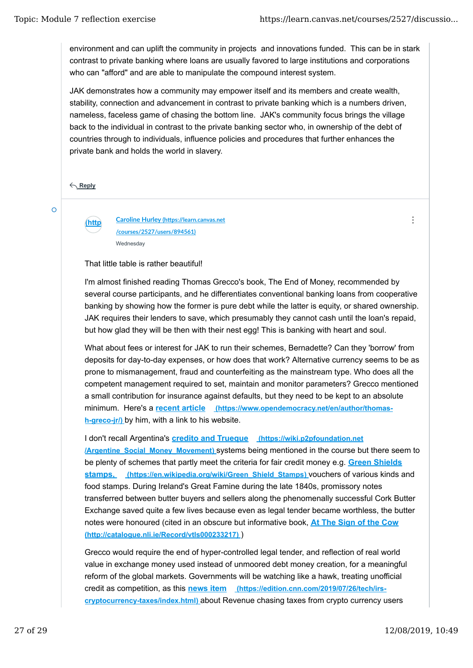environment and can uplift the community in projects and innovations funded. This can be in stark contrast to private banking where loans are usually favored to large institutions and corporations who can "afford" and are able to manipulate the compound interest system.

JAK demonstrates how a community may empower itself and its members and create wealth, stability, connection and advancement in contrast to private banking which is a numbers driven, nameless, faceless game of chasing the bottom line. JAK's community focus brings the village back to the individual in contrast to the private banking sector who, in ownership of the debt of countries through to individuals, influence policies and procedures that further enhances the private bank and holds the world in slavery.

**Reply**

 $\overline{O}$ 

**(https://learn.canvas.net Caroline Hurley (h�ps://learn.canvas.net /courses /courses/2527/users/894561)** Wednesday

That little table is rather beautiful!

I'm almost finished reading Thomas Grecco's book, The End of Money, recommended by several course participants, and he differentiates conventional banking loans from cooperative banking by showing how the former is pure debt while the latter is equity, or shared ownership. JAK requires their lenders to save, which presumably they cannot cash until the loan's repaid, but how glad they will be then with their nest egg! This is banking with heart and soul.

What about fees or interest for JAK to run their schemes, Bernadette? Can they 'borrow' from deposits for day-to-day expenses, or how does that work? Alternative currency seems to be as prone to mismanagement, fraud and counterfeiting as the mainstream type. Who does all the competent management required to set, maintain and monitor parameters? Grecco mentioned a small contribution for insurance against defaults, but they need to be kept to an absolute minimum. Here's a **recent article (https://www.opendemocracy.net/en/author/thomash-greco-jr/)** by him, with a link to his website.

I don't recall Argentina's **credito and Trueque (https://wiki.p2pfoundation.net /Argentine\_Social\_Money\_Movement)** systems being mentioned in the course but there seem to be plenty of schemes that partly meet the criteria for fair credit money e.g. **Green Shields stamps, (https://en.wikipedia.org/wiki/Green\_Shield\_Stamps)** vouchers of various kinds and food stamps. During Ireland's Great Famine during the late 1840s, promissory notes transferred between butter buyers and sellers along the phenomenally successful Cork Butter Exchange saved quite a few lives because even as legal tender became worthless, the butter notes were honoured (cited in an obscure but informative book, **At The Sign of the Cow (http://catalogue.nli.ie/Record/vtls000233217)** )

Grecco would require the end of hyper-controlled legal tender, and reflection of real world value in exchange money used instead of unmoored debt money creation, for a meaningful reform of the global markets. Governments will be watching like a hawk, treating unofficial credit as competition, as this **news item (https://edition.cnn.com/2019/07/26/tech/irscryptocurrency-taxes/index.html)** about Revenue chasing taxes from crypto currency users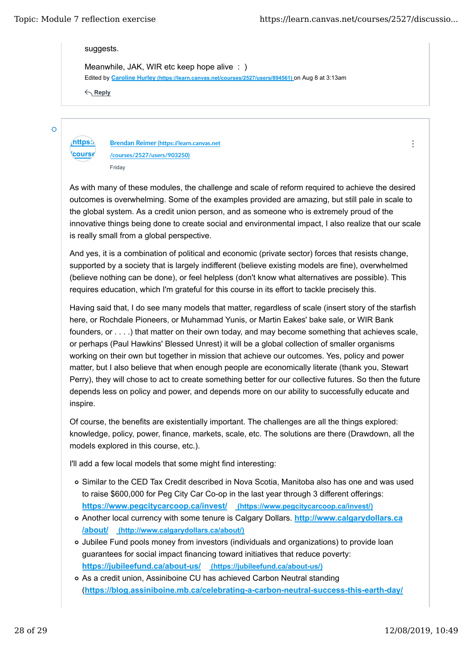$\ddot{\cdot}$ 

suggests.

Edited by **Caroline Hurley (https://learn.canvas.net/courses/2527/users/894561)** on Aug 8 at 3:13am Meanwhile, JAK, WIR etc keep hope alive : )

**Reply**

 $\overline{O}$ 

**(https://learn.canvas.net Brendan Reimer (h�ps://learn.canvas.net** *<u>course</u>* **/courses/2527/users/903250)** Friday

As with many of these modules, the challenge and scale of reform required to achieve the desired outcomes is overwhelming. Some of the examples provided are amazing, but still pale in scale to the global system. As a credit union person, and as someone who is extremely proud of the innovative things being done to create social and environmental impact, I also realize that our scale is really small from a global perspective.

And yes, it is a combination of political and economic (private sector) forces that resists change, supported by a society that is largely indifferent (believe existing models are fine), overwhelmed (believe nothing can be done), or feel helpless (don't know what alternatives are possible). This requires education, which I'm grateful for this course in its effort to tackle precisely this.

Having said that, I do see many models that matter, regardless of scale (insert story of the starfish here, or Rochdale Pioneers, or Muhammad Yunis, or Martin Eakes' bake sale, or WIR Bank founders, or . . . .) that matter on their own today, and may become something that achieves scale, or perhaps (Paul Hawkins' Blessed Unrest) it will be a global collection of smaller organisms working on their own but together in mission that achieve our outcomes. Yes, policy and power matter, but I also believe that when enough people are economically literate (thank you, Stewart Perry), they will chose to act to create something better for our collective futures. So then the future depends less on policy and power, and depends more on our ability to successfully educate and inspire.

Of course, the benefits are existentially important. The challenges are all the things explored: knowledge, policy, power, finance, markets, scale, etc. The solutions are there (Drawdown, all the models explored in this course, etc.).

I'll add a few local models that some might find interesting:

- Similar to the CED Tax Credit described in Nova Scotia, Manitoba also has one and was used to raise \$600,000 for Peg City Car Co-op in the last year through 3 different offerings: **https://www.pegcitycarcoop.ca/invest/ (https://www.pegcitycarcoop.ca/invest/)**
- Another local currency with some tenure is Calgary Dollars. **http://www.calgarydollars.ca /about/ (http://www.calgarydollars.ca/about/)**
- Jubilee Fund pools money from investors (individuals and organizations) to provide loan guarantees for social impact financing toward initiatives that reduce poverty: **https://jubileefund.ca/about-us/ (https://jubileefund.ca/about-us/)**
- As a credit union, Assiniboine CU has achieved Carbon Neutral standing (**https://blog.assiniboine.mb.ca/celebrating-a-carbon-neutral-success-this-earth-day/**